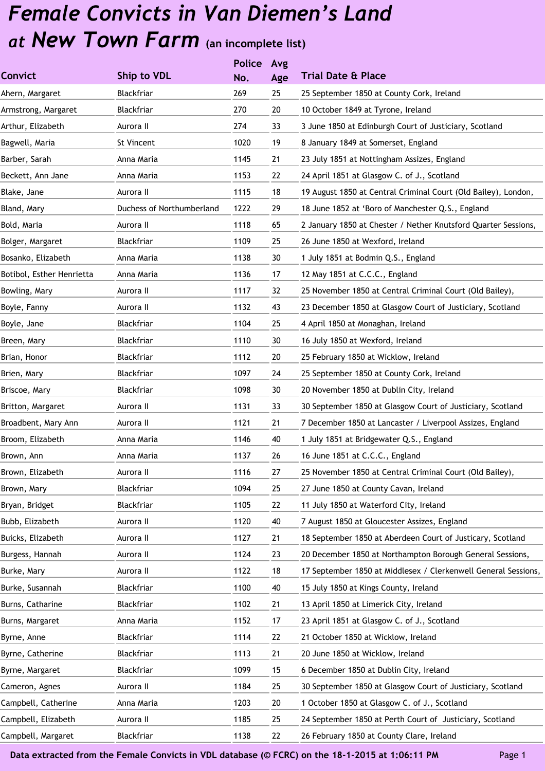|                           |                           | <b>Police</b> | Avg |                                                                |
|---------------------------|---------------------------|---------------|-----|----------------------------------------------------------------|
| <b>Convict</b>            | Ship to VDL               | No.           | Age | <b>Trial Date &amp; Place</b>                                  |
| Ahern, Margaret           | Blackfriar                | 269           | 25  | 25 September 1850 at County Cork, Ireland                      |
| Armstrong, Margaret       | Blackfriar                | 270           | 20  | 10 October 1849 at Tyrone, Ireland                             |
| Arthur, Elizabeth         | Aurora II                 | 274           | 33  | 3 June 1850 at Edinburgh Court of Justiciary, Scotland         |
| Bagwell, Maria            | St Vincent                | 1020          | 19  | 8 January 1849 at Somerset, England                            |
| Barber, Sarah             | Anna Maria                | 1145          | 21  | 23 July 1851 at Nottingham Assizes, England                    |
| Beckett, Ann Jane         | Anna Maria                | 1153          | 22  | 24 April 1851 at Glasgow C. of J., Scotland                    |
| Blake, Jane               | Aurora II                 | 1115          | 18  | 19 August 1850 at Central Criminal Court (Old Bailey), London, |
| Bland, Mary               | Duchess of Northumberland | 1222          | 29  | 18 June 1852 at 'Boro of Manchester Q.S., England              |
| Bold, Maria               | Aurora II                 | 1118          | 65  | 2 January 1850 at Chester / Nether Knutsford Quarter Sessions, |
| Bolger, Margaret          | Blackfriar                | 1109          | 25  | 26 June 1850 at Wexford, Ireland                               |
| Bosanko, Elizabeth        | Anna Maria                | 1138          | 30  | 1 July 1851 at Bodmin Q.S., England                            |
| Botibol, Esther Henrietta | Anna Maria                | 1136          | 17  | 12 May 1851 at C.C.C., England                                 |
| Bowling, Mary             | Aurora II                 | 1117          | 32  | 25 November 1850 at Central Criminal Court (Old Bailey),       |
| Boyle, Fanny              | Aurora II                 | 1132          | 43  | 23 December 1850 at Glasgow Court of Justiciary, Scotland      |
| Boyle, Jane               | Blackfriar                | 1104          | 25  | 4 April 1850 at Monaghan, Ireland                              |
| Breen, Mary               | Blackfriar                | 1110          | 30  | 16 July 1850 at Wexford, Ireland                               |
| Brian, Honor              | Blackfriar                | 1112          | 20  | 25 February 1850 at Wicklow, Ireland                           |
| Brien, Mary               | Blackfriar                | 1097          | 24  | 25 September 1850 at County Cork, Ireland                      |
| Briscoe, Mary             | Blackfriar                | 1098          | 30  | 20 November 1850 at Dublin City, Ireland                       |
| Britton, Margaret         | Aurora II                 | 1131          | 33  | 30 September 1850 at Glasgow Court of Justiciary, Scotland     |
| Broadbent, Mary Ann       | Aurora II                 | 1121          | 21  | 7 December 1850 at Lancaster / Liverpool Assizes, England      |
| Broom, Elizabeth          | Anna Maria                | 1146          | 40  | 1 July 1851 at Bridgewater Q.S., England                       |
| Brown, Ann                | Anna Maria                | 1137          | 26  | 16 June 1851 at C.C.C., England                                |
| Brown, Elizabeth          | Aurora II                 | 1116          | 27  | 25 November 1850 at Central Criminal Court (Old Bailey),       |
| Brown, Mary               | Blackfriar                | 1094          | 25  | 27 June 1850 at County Cavan, Ireland                          |
| Bryan, Bridget            | Blackfriar                | 1105          | 22  | 11 July 1850 at Waterford City, Ireland                        |
| Bubb, Elizabeth           | Aurora II                 | 1120          | 40  | 7 August 1850 at Gloucester Assizes, England                   |
| Buicks, Elizabeth         | Aurora II                 | 1127          | 21  | 18 September 1850 at Aberdeen Court of Justicary, Scotland     |
| Burgess, Hannah           | Aurora II                 | 1124          | 23  | 20 December 1850 at Northampton Borough General Sessions,      |
| Burke, Mary               | Aurora II                 | 1122          | 18  | 17 September 1850 at Middlesex / Clerkenwell General Sessions, |
| Burke, Susannah           | Blackfriar                | 1100          | 40  | 15 July 1850 at Kings County, Ireland                          |
| Burns, Catharine          | Blackfriar                | 1102          | 21  | 13 April 1850 at Limerick City, Ireland                        |
| Burns, Margaret           | Anna Maria                | 1152          | 17  | 23 April 1851 at Glasgow C. of J., Scotland                    |
| Byrne, Anne               | Blackfriar                | 1114          | 22  | 21 October 1850 at Wicklow, Ireland                            |
| Byrne, Catherine          | Blackfriar                | 1113          | 21  | 20 June 1850 at Wicklow, Ireland                               |
| Byrne, Margaret           | Blackfriar                | 1099          | 15  | 6 December 1850 at Dublin City, Ireland                        |
| Cameron, Agnes            | Aurora II                 | 1184          | 25  | 30 September 1850 at Glasgow Court of Justiciary, Scotland     |
| Campbell, Catherine       | Anna Maria                | 1203          | 20  | 1 October 1850 at Glasgow C. of J., Scotland                   |
| Campbell, Elizabeth       | Aurora II                 | 1185          | 25  | 24 September 1850 at Perth Court of Justiciary, Scotland       |
| Campbell, Margaret        | Blackfriar                | 1138          | 22  | 26 February 1850 at County Clare, Ireland                      |
|                           |                           |               |     |                                                                |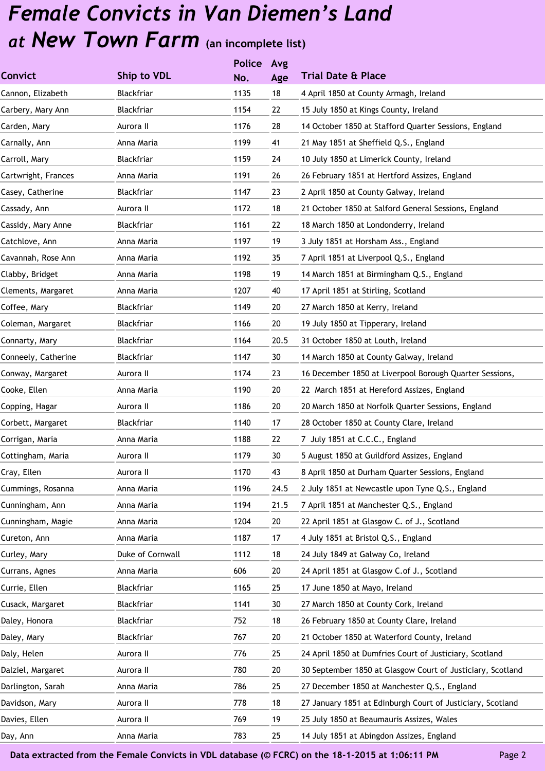|                     |                  | <b>Police</b> | Avg  |                                                            |
|---------------------|------------------|---------------|------|------------------------------------------------------------|
| <b>Convict</b>      | Ship to VDL      | No.           | Age  | <b>Trial Date &amp; Place</b>                              |
| Cannon, Elizabeth   | Blackfriar       | 1135          | 18   | 4 April 1850 at County Armagh, Ireland                     |
| Carbery, Mary Ann   | Blackfriar       | 1154          | 22   | 15 July 1850 at Kings County, Ireland                      |
| Carden, Mary        | Aurora II        | 1176          | 28   | 14 October 1850 at Stafford Quarter Sessions, England      |
| Carnally, Ann       | Anna Maria       | 1199          | 41   | 21 May 1851 at Sheffield Q.S., England                     |
| Carroll, Mary       | Blackfriar       | 1159          | 24   | 10 July 1850 at Limerick County, Ireland                   |
| Cartwright, Frances | Anna Maria       | 1191          | 26   | 26 February 1851 at Hertford Assizes, England              |
| Casey, Catherine    | Blackfriar       | 1147          | 23   | 2 April 1850 at County Galway, Ireland                     |
| Cassady, Ann        | Aurora II        | 1172          | 18   | 21 October 1850 at Salford General Sessions, England       |
| Cassidy, Mary Anne  | Blackfriar       | 1161          | 22   | 18 March 1850 at Londonderry, Ireland                      |
| Catchlove, Ann      | Anna Maria       | 1197          | 19   | 3 July 1851 at Horsham Ass., England                       |
| Cavannah, Rose Ann  | Anna Maria       | 1192          | 35   | 7 April 1851 at Liverpool Q.S., England                    |
| Clabby, Bridget     | Anna Maria       | 1198          | 19   | 14 March 1851 at Birmingham Q.S., England                  |
| Clements, Margaret  | Anna Maria       | 1207          | 40   | 17 April 1851 at Stirling, Scotland                        |
| Coffee, Mary        | Blackfriar       | 1149          | 20   | 27 March 1850 at Kerry, Ireland                            |
| Coleman, Margaret   | Blackfriar       | 1166          | 20   | 19 July 1850 at Tipperary, Ireland                         |
| Connarty, Mary      | Blackfriar       | 1164          | 20.5 | 31 October 1850 at Louth, Ireland                          |
| Conneely, Catherine | Blackfriar       | 1147          | 30   | 14 March 1850 at County Galway, Ireland                    |
| Conway, Margaret    | Aurora II        | 1174          | 23   | 16 December 1850 at Liverpool Borough Quarter Sessions,    |
| Cooke, Ellen        | Anna Maria       | 1190          | 20   | 22 March 1851 at Hereford Assizes, England                 |
| Copping, Hagar      | Aurora II        | 1186          | 20   | 20 March 1850 at Norfolk Quarter Sessions, England         |
| Corbett, Margaret   | Blackfriar       | 1140          | 17   | 28 October 1850 at County Clare, Ireland                   |
| Corrigan, Maria     | Anna Maria       | 1188          | 22   | 7 July 1851 at C.C.C., England                             |
| Cottingham, Maria   | Aurora II        | 1179          | 30   | 5 August 1850 at Guildford Assizes, England                |
| Cray, Ellen         | Aurora II        | 1170          | 43   | 8 April 1850 at Durham Quarter Sessions, England           |
| Cummings, Rosanna   | Anna Maria       | 1196          | 24.5 | 2 July 1851 at Newcastle upon Tyne Q.S., England           |
| Cunningham, Ann     | Anna Maria       | 1194          | 21.5 | 7 April 1851 at Manchester Q.S., England                   |
| Cunningham, Magie   | Anna Maria       | 1204          | 20   | 22 April 1851 at Glasgow C. of J., Scotland                |
| Cureton, Ann        | Anna Maria       | 1187          | 17   | 4 July 1851 at Bristol Q.S., England                       |
| Curley, Mary        | Duke of Cornwall | 1112          | 18   | 24 July 1849 at Galway Co, Ireland                         |
| Currans, Agnes      | Anna Maria       | 606           | 20   | 24 April 1851 at Glasgow C.of J., Scotland                 |
| Currie, Ellen       | Blackfriar       | 1165          | 25   | 17 June 1850 at Mayo, Ireland                              |
| Cusack, Margaret    | Blackfriar       | 1141          | 30   | 27 March 1850 at County Cork, Ireland                      |
| Daley, Honora       | Blackfriar       | 752           | 18   | 26 February 1850 at County Clare, Ireland                  |
| Daley, Mary         | Blackfriar       | 767           | 20   | 21 October 1850 at Waterford County, Ireland               |
| Daly, Helen         | Aurora II        | 776           | 25   | 24 April 1850 at Dumfries Court of Justiciary, Scotland    |
| Dalziel, Margaret   | Aurora II        | 780           | 20   | 30 September 1850 at Glasgow Court of Justiciary, Scotland |
| Darlington, Sarah   | Anna Maria       | 786           | 25   | 27 December 1850 at Manchester Q.S., England               |
| Davidson, Mary      | Aurora II        | 778           | 18   | 27 January 1851 at Edinburgh Court of Justiciary, Scotland |
| Davies, Ellen       | Aurora II        | 769           | 19   | 25 July 1850 at Beaumauris Assizes, Wales                  |
| Day, Ann            | Anna Maria       | 783           | 25   | 14 July 1851 at Abingdon Assizes, England                  |
|                     |                  |               |      |                                                            |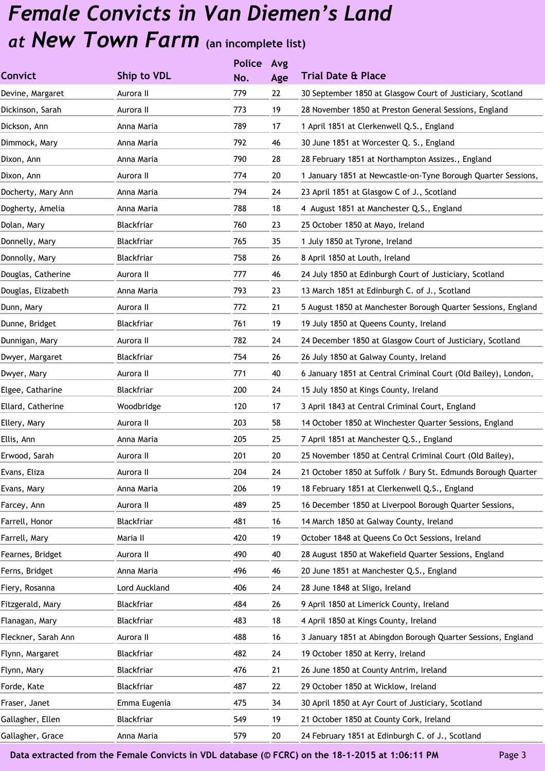|                     |               | <b>Police</b> | Avg |                                                                |
|---------------------|---------------|---------------|-----|----------------------------------------------------------------|
| <b>Convict</b>      | Ship to VDL   | No.           | Age | <b>Trial Date &amp; Place</b>                                  |
| Devine, Margaret    | Aurora II     | 779           | 22  | 30 September 1850 at Glasgow Court of Justiciary, Scotland     |
| Dickinson, Sarah    | Aurora II     | 773           | 19  | 28 November 1850 at Preston General Sessions, England          |
| Dickson, Ann        | Anna Maria    | 789           | 17  | 1 April 1851 at Clerkenwell Q.S., England                      |
| Dimmock, Mary       | Anna Maria    | 792           | 46  | 30 June 1851 at Worcester Q. S., England                       |
| Dixon, Ann          | Anna Maria    | 790           | 28  | 28 February 1851 at Northampton Assizes., England              |
| Dixon, Ann          | Aurora II     | 774           | 20  | 1 January 1851 at Newcastle-on-Tyne Borough Quarter Sessions,  |
| Docherty, Mary Ann  | Anna Maria    | 794           | 24  | 23 April 1851 at Glasgow C of J., Scotland                     |
| Dogherty, Amelia    | Anna Maria    | 788           | 18  | 4 August 1851 at Manchester Q.S., England                      |
| Dolan, Mary         | Blackfriar    | 760           | 23  | 25 October 1850 at Mayo, Ireland                               |
| Donnelly, Mary      | Blackfriar    | 765           | 35  | 1 July 1850 at Tyrone, Ireland                                 |
| Donnolly, Mary      | Blackfriar    | 758           | 26  | 8 April 1850 at Louth, Ireland                                 |
| Douglas, Catherine  | Aurora II     | 777           | 46  | 24 July 1850 at Edinburgh Court of Justiciary, Scotland        |
| Douglas, Elizabeth  | Anna Maria    | 793           | 23  | 13 March 1851 at Edinburgh C. of J., Scotland                  |
| Dunn, Mary          | Aurora II     | 772           | 21  | 5 August 1850 at Manchester Borough Quarter Sessions, England  |
| Dunne, Bridget      | Blackfriar    | 761           | 19  | 19 July 1850 at Queens County, Ireland                         |
| Dunnigan, Mary      | Aurora II     | 782           | 24  | 24 December 1850 at Glasgow Court of Justiciary, Scotland      |
| Dwyer, Margaret     | Blackfriar    | 754           | 26  | 26 July 1850 at Galway County, Ireland                         |
| Dwyer, Mary         | Aurora II     | 771           | 40  | 6 January 1851 at Central Criminal Court (Old Bailey), London, |
| Elgee, Catharine    | Blackfriar    | 200           | 24  | 15 July 1850 at Kings County, Ireland                          |
| Ellard, Catherine   | Woodbridge    | 120           | 17  | 3 April 1843 at Central Criminal Court, England                |
| Ellery, Mary        | Aurora II     | 203           | 58  | 14 October 1850 at Winchester Quarter Sessions, England        |
| Ellis, Ann          | Anna Maria    | 205           | 25  | 7 April 1851 at Manchester Q.S., England                       |
| Erwood, Sarah       | Aurora II     | 201           | 20  | 25 November 1850 at Central Criminal Court (Old Bailey),       |
| Evans, Eliza        | Aurora II     | 204           | 24  | 21 October 1850 at Suffolk / Bury St. Edmunds Borough Quarter  |
| Evans, Mary         | Anna Maria    | 206           | 19  | 18 February 1851 at Clerkenwell Q.S., England                  |
| Farcey, Ann         | Aurora II     | 489           | 25  | 16 December 1850 at Liverpool Borough Quarter Sessions,        |
| Farrell, Honor      | Blackfriar    | 481           | 16  | 14 March 1850 at Galway County, Ireland                        |
| Farrell, Mary       | Maria II      | 420           | 19  | October 1848 at Queens Co Oct Sessions, Ireland                |
| Fearnes, Bridget    | Aurora II     | 490           | 40  | 28 August 1850 at Wakefield Quarter Sessions, England          |
| Ferns, Bridget      | Anna Maria    | 496           | 46  | 20 June 1851 at Manchester Q.S., England                       |
| Fiery, Rosanna      | Lord Auckland | 406           | 24  | 28 June 1848 at Sligo, Ireland                                 |
| Fitzgerald, Mary    | Blackfriar    | 484           | 26  | 9 April 1850 at Limerick County, Ireland                       |
| Flanagan, Mary      | Blackfriar    | 483           | 18  | 4 April 1850 at Kings County, Ireland                          |
| Fleckner, Sarah Ann | Aurora II     | 488           | 16  | 3 January 1851 at Abingdon Borough Quarter Sessions, England   |
| Flynn, Margaret     | Blackfriar    | 482           | 24  | 19 October 1850 at Kerry, Ireland                              |
| Flynn, Mary         | Blackfriar    | 476           | 21  | 26 June 1850 at County Antrim, Ireland                         |
| Forde, Kate         | Blackfriar    | 487           | 22  | 29 October 1850 at Wicklow, Ireland                            |
| Fraser, Janet       | Emma Eugenia  | 475           | 34  | 30 April 1850 at Ayr Court of Justiciary, Scotland             |
| Gallagher, Ellen    | Blackfriar    | 549           | 19  | 21 October 1850 at County Cork, Ireland                        |
| Gallagher, Grace    | Anna Maria    | 579           | 20  | 24 February 1851 at Edinburgh C. of J., Scotland               |
|                     |               |               |     |                                                                |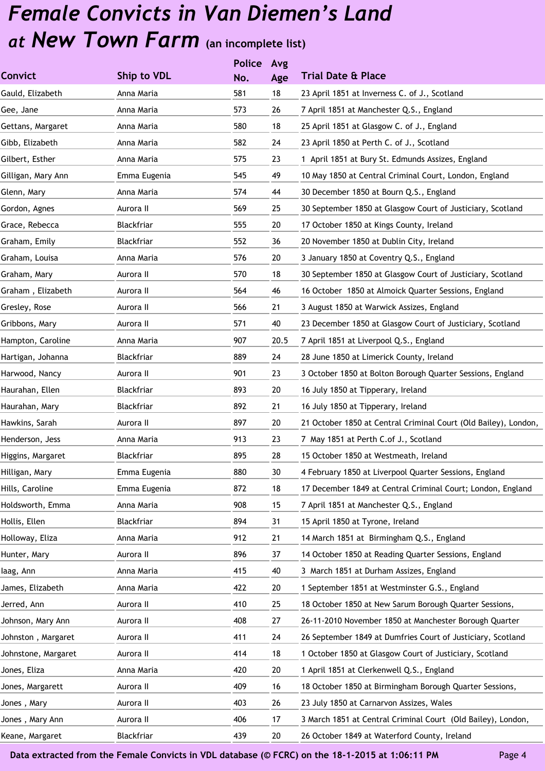|                     |                    | <b>Police</b> | Avg  |                                                                 |
|---------------------|--------------------|---------------|------|-----------------------------------------------------------------|
| <b>Convict</b>      | <b>Ship to VDL</b> | No.           | Age  | <b>Trial Date &amp; Place</b>                                   |
| Gauld, Elizabeth    | Anna Maria         | 581           | 18   | 23 April 1851 at Inverness C. of J., Scotland                   |
| Gee, Jane           | Anna Maria         | 573           | 26   | 7 April 1851 at Manchester Q.S., England                        |
| Gettans, Margaret   | Anna Maria         | 580           | 18   | 25 April 1851 at Glasgow C. of J., England                      |
| Gibb, Elizabeth     | Anna Maria         | 582           | 24   | 23 April 1850 at Perth C. of J., Scotland                       |
| Gilbert, Esther     | Anna Maria         | 575           | 23   | 1 April 1851 at Bury St. Edmunds Assizes, England               |
| Gilligan, Mary Ann  | Emma Eugenia       | 545           | 49   | 10 May 1850 at Central Criminal Court, London, England          |
| Glenn, Mary         | Anna Maria         | 574           | 44   | 30 December 1850 at Bourn Q.S., England                         |
| Gordon, Agnes       | Aurora II          | 569           | 25   | 30 September 1850 at Glasgow Court of Justiciary, Scotland      |
| Grace, Rebecca      | Blackfriar         | 555           | 20   | 17 October 1850 at Kings County, Ireland                        |
| Graham, Emily       | Blackfriar         | 552           | 36   | 20 November 1850 at Dublin City, Ireland                        |
| Graham, Louisa      | Anna Maria         | 576           | 20   | 3 January 1850 at Coventry Q.S., England                        |
| Graham, Mary        | Aurora II          | 570           | 18   | 30 September 1850 at Glasgow Court of Justiciary, Scotland      |
| Graham, Elizabeth   | Aurora II          | 564           | 46   | 16 October 1850 at Almoick Quarter Sessions, England            |
| Gresley, Rose       | Aurora II          | 566           | 21   | 3 August 1850 at Warwick Assizes, England                       |
| Gribbons, Mary      | Aurora II          | 571           | 40   | 23 December 1850 at Glasgow Court of Justiciary, Scotland       |
| Hampton, Caroline   | Anna Maria         | 907           | 20.5 | 7 April 1851 at Liverpool Q.S., England                         |
| Hartigan, Johanna   | Blackfriar         | 889           | 24   | 28 June 1850 at Limerick County, Ireland                        |
| Harwood, Nancy      | Aurora II          | 901           | 23   | 3 October 1850 at Bolton Borough Quarter Sessions, England      |
| Haurahan, Ellen     | Blackfriar         | 893           | 20   | 16 July 1850 at Tipperary, Ireland                              |
| Haurahan, Mary      | Blackfriar         | 892           | 21   | 16 July 1850 at Tipperary, Ireland                              |
| Hawkins, Sarah      | Aurora II          | 897           | 20   | 21 October 1850 at Central Criminal Court (Old Bailey), London, |
| Henderson, Jess     | Anna Maria         | 913           | 23   | 7 May 1851 at Perth C.of J., Scotland                           |
| Higgins, Margaret   | Blackfriar         | 895           | 28   | 15 October 1850 at Westmeath, Ireland                           |
| Hilligan, Mary      | Emma Eugenia       | 880           | 30   | 4 February 1850 at Liverpool Quarter Sessions, England          |
| Hills, Caroline     | Emma Eugenia       | 872           | 18   | 17 December 1849 at Central Criminal Court; London, England     |
| Holdsworth, Emma    | Anna Maria         | 908           | 15   | 7 April 1851 at Manchester Q.S., England                        |
| Hollis, Ellen       | Blackfriar         | 894           | 31   | 15 April 1850 at Tyrone, Ireland                                |
| Holloway, Eliza     | Anna Maria         | 912           | 21   | 14 March 1851 at Birmingham Q.S., England                       |
| Hunter, Mary        | Aurora II          | 896           | 37   | 14 October 1850 at Reading Quarter Sessions, England            |
| laag, Ann           | Anna Maria         | 415           | 40   | 3 March 1851 at Durham Assizes, England                         |
| James, Elizabeth    | Anna Maria         | 422           | 20   | 1 September 1851 at Westminster G.S., England                   |
| Jerred, Ann         | Aurora II          | 410           | 25   | 18 October 1850 at New Sarum Borough Quarter Sessions,          |
| Johnson, Mary Ann   | Aurora II          | 408           | 27   | 26-11-2010 November 1850 at Manchester Borough Quarter          |
| Johnston, Margaret  | Aurora II          | 411           | 24   | 26 September 1849 at Dumfries Court of Justiciary, Scotland     |
| Johnstone, Margaret | Aurora II          | 414           | 18   | 1 October 1850 at Glasgow Court of Justiciary, Scotland         |
| Jones, Eliza        | Anna Maria         | 420           | 20   | 1 April 1851 at Clerkenwell Q.S., England                       |
| Jones, Margarett    | Aurora II          | 409           | 16   | 18 October 1850 at Birmingham Borough Quarter Sessions,         |
| Jones, Mary         | Aurora II          | 403           | 26   | 23 July 1850 at Carnarvon Assizes, Wales                        |
| Jones, Mary Ann     | Aurora II          | 406           | 17   | 3 March 1851 at Central Criminal Court (Old Bailey), London,    |
| Keane, Margaret     | Blackfriar         | 439           | 20   | 26 October 1849 at Waterford County, Ireland                    |
|                     |                    |               |      |                                                                 |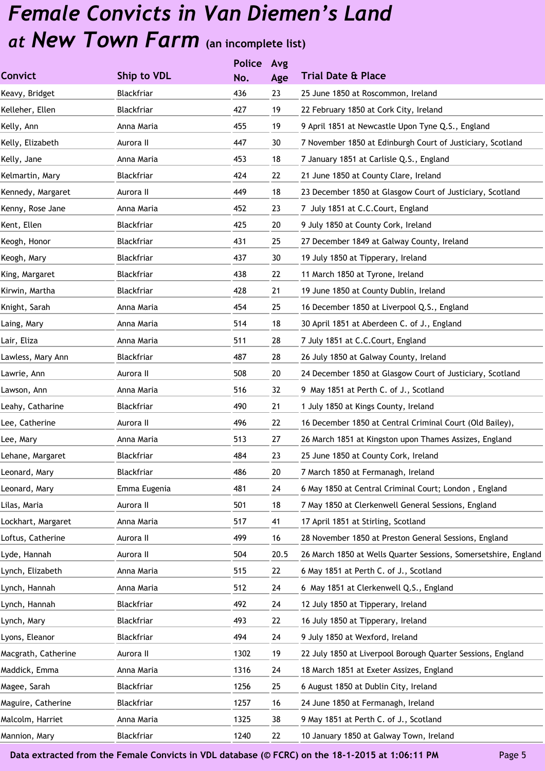**Police**

|                     |              | <b>Police</b> | Avg  |                                                                 |
|---------------------|--------------|---------------|------|-----------------------------------------------------------------|
| <b>Convict</b>      | Ship to VDL  | No.           | Age  | <b>Trial Date &amp; Place</b>                                   |
| Keavy, Bridget      | Blackfriar   | 436           | 23   | 25 June 1850 at Roscommon, Ireland                              |
| Kelleher, Ellen     | Blackfriar   | 427           | 19   | 22 February 1850 at Cork City, Ireland                          |
| Kelly, Ann          | Anna Maria   | 455           | 19   | 9 April 1851 at Newcastle Upon Tyne Q.S., England               |
| Kelly, Elizabeth    | Aurora II    | 447           | 30   | 7 November 1850 at Edinburgh Court of Justiciary, Scotland      |
| Kelly, Jane         | Anna Maria   | 453           | 18   | 7 January 1851 at Carlisle Q.S., England                        |
| Kelmartin, Mary     | Blackfriar   | 424           | 22   | 21 June 1850 at County Clare, Ireland                           |
| Kennedy, Margaret   | Aurora II    | 449           | 18   | 23 December 1850 at Glasgow Court of Justiciary, Scotland       |
| Kenny, Rose Jane    | Anna Maria   | 452           | 23   | 7 July 1851 at C.C.Court, England                               |
| Kent, Ellen         | Blackfriar   | 425           | 20   | 9 July 1850 at County Cork, Ireland                             |
| Keogh, Honor        | Blackfriar   | 431           | 25   | 27 December 1849 at Galway County, Ireland                      |
| Keogh, Mary         | Blackfriar   | 437           | 30   | 19 July 1850 at Tipperary, Ireland                              |
| King, Margaret      | Blackfriar   | 438           | 22   | 11 March 1850 at Tyrone, Ireland                                |
| Kirwin, Martha      | Blackfriar   | 428           | 21   | 19 June 1850 at County Dublin, Ireland                          |
| Knight, Sarah       | Anna Maria   | 454           | 25   | 16 December 1850 at Liverpool Q.S., England                     |
| Laing, Mary         | Anna Maria   | 514           | 18   | 30 April 1851 at Aberdeen C. of J., England                     |
| Lair, Eliza         | Anna Maria   | 511           | 28   | 7 July 1851 at C.C.Court, England                               |
| Lawless, Mary Ann   | Blackfriar   | 487           | 28   | 26 July 1850 at Galway County, Ireland                          |
| Lawrie, Ann         | Aurora II    | 508           | 20   | 24 December 1850 at Glasgow Court of Justiciary, Scotland       |
| Lawson, Ann         | Anna Maria   | 516           | 32   | 9 May 1851 at Perth C. of J., Scotland                          |
| Leahy, Catharine    | Blackfriar   | 490           | 21   | 1 July 1850 at Kings County, Ireland                            |
| Lee, Catherine      | Aurora II    | 496           | 22   | 16 December 1850 at Central Criminal Court (Old Bailey),        |
| Lee, Mary           | Anna Maria   | 513           | 27   | 26 March 1851 at Kingston upon Thames Assizes, England          |
| Lehane, Margaret    | Blackfriar   | 484           | 23   | 25 June 1850 at County Cork, Ireland                            |
| Leonard, Mary       | Blackfriar   | 486           | 20   | 7 March 1850 at Fermanagh, Ireland                              |
| Leonard, Mary       | Emma Eugenia | 481           | 24   | 6 May 1850 at Central Criminal Court; London, England           |
| Lilas, Maria        | Aurora II    | 501           | 18   | 7 May 1850 at Clerkenwell General Sessions, England             |
| Lockhart, Margaret  | Anna Maria   | 517           | 41   | 17 April 1851 at Stirling, Scotland                             |
| Loftus, Catherine   | Aurora II    | 499           | 16   | 28 November 1850 at Preston General Sessions, England           |
| Lyde, Hannah        | Aurora II    | 504           | 20.5 | 26 March 1850 at Wells Quarter Sessions, Somersetshire, England |
| Lynch, Elizabeth    | Anna Maria   | 515           | 22   | 6 May 1851 at Perth C. of J., Scotland                          |
| Lynch, Hannah       | Anna Maria   | 512           | 24   | 6 May 1851 at Clerkenwell Q.S., England                         |
| Lynch, Hannah       | Blackfriar   | 492           | 24   | 12 July 1850 at Tipperary, Ireland                              |
| Lynch, Mary         | Blackfriar   | 493           | 22   | 16 July 1850 at Tipperary, Ireland                              |
| Lyons, Eleanor      | Blackfriar   | 494           | 24   | 9 July 1850 at Wexford, Ireland                                 |
| Macgrath, Catherine | Aurora II    | 1302          | 19   | 22 July 1850 at Liverpool Borough Quarter Sessions, England     |
| Maddick, Emma       | Anna Maria   | 1316          | 24   | 18 March 1851 at Exeter Assizes, England                        |
| Magee, Sarah        | Blackfriar   | 1256          | 25   | 6 August 1850 at Dublin City, Ireland                           |
| Maguire, Catherine  | Blackfriar   | 1257          | 16   | 24 June 1850 at Fermanagh, Ireland                              |
| Malcolm, Harriet    | Anna Maria   | 1325          | 38   | 9 May 1851 at Perth C. of J., Scotland                          |
| Mannion, Mary       | Blackfriar   | 1240          | 22   | 10 January 1850 at Galway Town, Ireland                         |
|                     |              |               |      |                                                                 |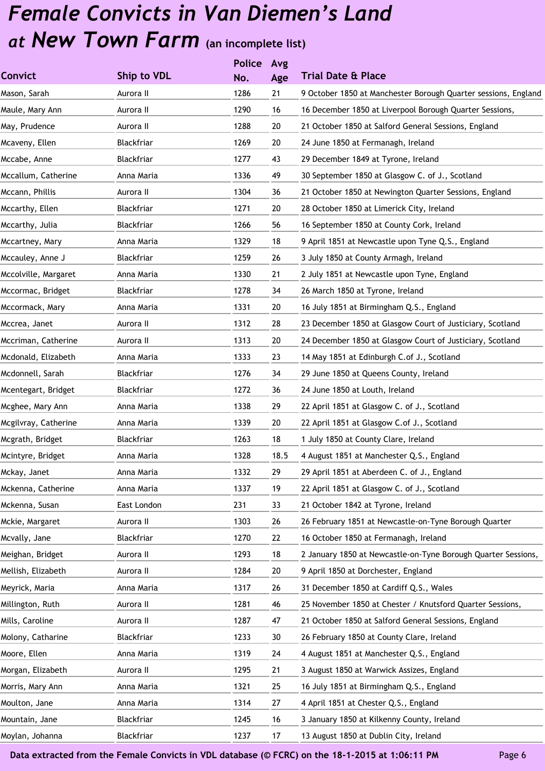|                      |             | <b>Police</b> | Avg  |                                                                |
|----------------------|-------------|---------------|------|----------------------------------------------------------------|
| <b>Convict</b>       | Ship to VDL | No.           | Age  | <b>Trial Date &amp; Place</b>                                  |
| Mason, Sarah         | Aurora II   | 1286          | 21   | 9 October 1850 at Manchester Borough Quarter sessions, England |
| Maule, Mary Ann      | Aurora II   | 1290          | 16   | 16 December 1850 at Liverpool Borough Quarter Sessions,        |
| May, Prudence        | Aurora II   | 1288          | 20   | 21 October 1850 at Salford General Sessions, England           |
| Mcaveny, Ellen       | Blackfriar  | 1269          | 20   | 24 June 1850 at Fermanagh, Ireland                             |
| Mccabe, Anne         | Blackfriar  | 1277          | 43   | 29 December 1849 at Tyrone, Ireland                            |
| Mccallum, Catherine  | Anna Maria  | 1336          | 49   | 30 September 1850 at Glasgow C. of J., Scotland                |
| Mccann, Phillis      | Aurora II   | 1304          | 36   | 21 October 1850 at Newington Quarter Sessions, England         |
| Mccarthy, Ellen      | Blackfriar  | 1271          | 20   | 28 October 1850 at Limerick City, Ireland                      |
| Mccarthy, Julia      | Blackfriar  | 1266          | 56   | 16 September 1850 at County Cork, Ireland                      |
| Mccartney, Mary      | Anna Maria  | 1329          | 18   | 9 April 1851 at Newcastle upon Tyne Q.S., England              |
| Mccauley, Anne J     | Blackfriar  | 1259          | 26   | 3 July 1850 at County Armagh, Ireland                          |
| Mccolville, Margaret | Anna Maria  | 1330          | 21   | 2 July 1851 at Newcastle upon Tyne, England                    |
| Mccormac, Bridget    | Blackfriar  | 1278          | 34   | 26 March 1850 at Tyrone, Ireland                               |
| Mccormack, Mary      | Anna Maria  | 1331          | 20   | 16 July 1851 at Birmingham Q.S., England                       |
| Mccrea, Janet        | Aurora II   | 1312          | 28   | 23 December 1850 at Glasgow Court of Justiciary, Scotland      |
| Mccriman, Catherine  | Aurora II   | 1313          | 20   | 24 December 1850 at Glasgow Court of Justiciary, Scotland      |
| Mcdonald, Elizabeth  | Anna Maria  | 1333          | 23   | 14 May 1851 at Edinburgh C.of J., Scotland                     |
| Mcdonnell, Sarah     | Blackfriar  | 1276          | 34   | 29 June 1850 at Queens County, Ireland                         |
| Mcentegart, Bridget  | Blackfriar  | 1272          | 36   | 24 June 1850 at Louth, Ireland                                 |
| Mcghee, Mary Ann     | Anna Maria  | 1338          | 29   | 22 April 1851 at Glasgow C. of J., Scotland                    |
| Mcgilvray, Catherine | Anna Maria  | 1339          | 20   | 22 April 1851 at Glasgow C.of J., Scotland                     |
| Mcgrath, Bridget     | Blackfriar  | 1263          | 18   | 1 July 1850 at County Clare, Ireland                           |
| Mcintyre, Bridget    | Anna Maria  | 1328          | 18.5 | 4 August 1851 at Manchester Q.S., England                      |
| Mckay, Janet         | Anna Maria  | 1332          | 29   | 29 April 1851 at Aberdeen C. of J., England                    |
| Mckenna, Catherine   | Anna Maria  | 1337          | 19   | 22 April 1851 at Glasgow C. of J., Scotland                    |
| Mckenna, Susan       | East London | 231           | 33   | 21 October 1842 at Tyrone, Ireland                             |
| Mckie, Margaret      | Aurora II   | 1303          | 26   | 26 February 1851 at Newcastle-on-Tyne Borough Quarter          |
| Mcvally, Jane        | Blackfriar  | 1270          | 22   | 16 October 1850 at Fermanagh, Ireland                          |
| Meighan, Bridget     | Aurora II   | 1293          | 18   | 2 January 1850 at Newcastle-on-Tyne Borough Quarter Sessions,  |
| Mellish, Elizabeth   | Aurora II   | 1284          | 20   | 9 April 1850 at Dorchester, England                            |
| Meyrick, Maria       | Anna Maria  | 1317          | 26   | 31 December 1850 at Cardiff Q.S., Wales                        |
| Millington, Ruth     | Aurora II   | 1281          | 46   | 25 November 1850 at Chester / Knutsford Quarter Sessions,      |
| Mills, Caroline      | Aurora II   | 1287          | 47   | 21 October 1850 at Salford General Sessions, England           |
| Molony, Catharine    | Blackfriar  | 1233          | 30   | 26 February 1850 at County Clare, Ireland                      |
| Moore, Ellen         | Anna Maria  | 1319          | 24   | 4 August 1851 at Manchester Q.S., England                      |
| Morgan, Elizabeth    | Aurora II   | 1295          | 21   | 3 August 1850 at Warwick Assizes, England                      |
| Morris, Mary Ann     | Anna Maria  | 1321          | 25   | 16 July 1851 at Birmingham Q.S., England                       |
| Moulton, Jane        | Anna Maria  | 1314          | 27   | 4 April 1851 at Chester Q.S., England                          |
| Mountain, Jane       | Blackfriar  | 1245          | 16   | 3 January 1850 at Kilkenny County, Ireland                     |
| Moylan, Johanna      | Blackfriar  | 1237          | 17   | 13 August 1850 at Dublin City, Ireland                         |
|                      |             |               |      |                                                                |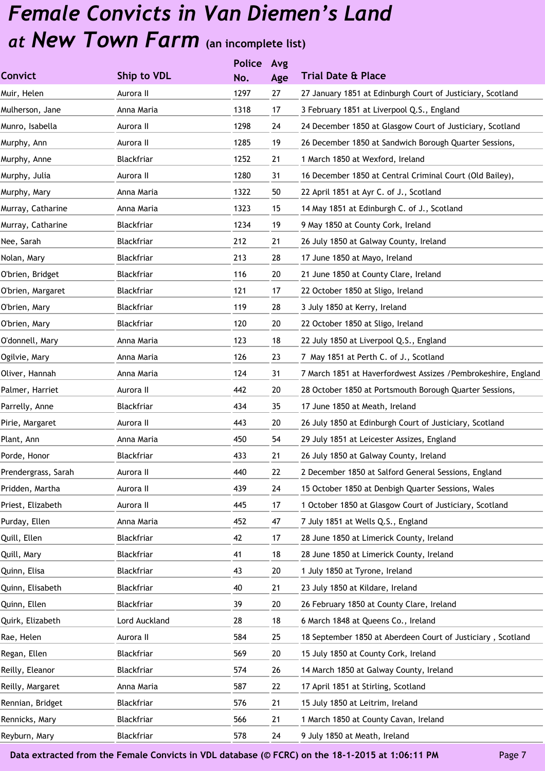|                     |                    | <b>Police</b> | Avg |                                                                |
|---------------------|--------------------|---------------|-----|----------------------------------------------------------------|
| <b>Convict</b>      | <b>Ship to VDL</b> | No.           | Age | <b>Trial Date &amp; Place</b>                                  |
| Muir, Helen         | Aurora II          | 1297          | 27  | 27 January 1851 at Edinburgh Court of Justiciary, Scotland     |
| Mulherson, Jane     | Anna Maria         | 1318          | 17  | 3 February 1851 at Liverpool Q.S., England                     |
| Munro, Isabella     | Aurora II          | 1298          | 24  | 24 December 1850 at Glasgow Court of Justiciary, Scotland      |
| Murphy, Ann         | Aurora II          | 1285          | 19  | 26 December 1850 at Sandwich Borough Quarter Sessions,         |
| Murphy, Anne        | Blackfriar         | 1252          | 21  | 1 March 1850 at Wexford, Ireland                               |
| Murphy, Julia       | Aurora II          | 1280          | 31  | 16 December 1850 at Central Criminal Court (Old Bailey),       |
| Murphy, Mary        | Anna Maria         | 1322          | 50  | 22 April 1851 at Ayr C. of J., Scotland                        |
| Murray, Catharine   | Anna Maria         | 1323          | 15  | 14 May 1851 at Edinburgh C. of J., Scotland                    |
| Murray, Catharine   | Blackfriar         | 1234          | 19  | 9 May 1850 at County Cork, Ireland                             |
| Nee, Sarah          | Blackfriar         | 212           | 21  | 26 July 1850 at Galway County, Ireland                         |
| Nolan, Mary         | Blackfriar         | 213           | 28  | 17 June 1850 at Mayo, Ireland                                  |
| O'brien, Bridget    | Blackfriar         | 116           | 20  | 21 June 1850 at County Clare, Ireland                          |
| O'brien, Margaret   | Blackfriar         | 121           | 17  | 22 October 1850 at Sligo, Ireland                              |
| O'brien, Mary       | Blackfriar         | 119           | 28  | 3 July 1850 at Kerry, Ireland                                  |
| O'brien, Mary       | Blackfriar         | 120           | 20  | 22 October 1850 at Sligo, Ireland                              |
| O'donnell, Mary     | Anna Maria         | 123           | 18  | 22 July 1850 at Liverpool Q.S., England                        |
| Ogilvie, Mary       | Anna Maria         | 126           | 23  | 7 May 1851 at Perth C. of J., Scotland                         |
| Oliver, Hannah      | Anna Maria         | 124           | 31  | 7 March 1851 at Haverfordwest Assizes / Pembrokeshire, England |
| Palmer, Harriet     | Aurora II          | 442           | 20  | 28 October 1850 at Portsmouth Borough Quarter Sessions,        |
| Parrelly, Anne      | Blackfriar         | 434           | 35  | 17 June 1850 at Meath, Ireland                                 |
| Pirie, Margaret     | Aurora II          | 443           | 20  | 26 July 1850 at Edinburgh Court of Justiciary, Scotland        |
| Plant, Ann          | Anna Maria         | 450           | 54  | 29 July 1851 at Leicester Assizes, England                     |
| Porde, Honor        | Blackfriar         | 433           | 21  | 26 July 1850 at Galway County, Ireland                         |
| Prendergrass, Sarah | Aurora II          | 440           | 22  | 2 December 1850 at Salford General Sessions, England           |
| Pridden, Martha     | Aurora II          | 439           | 24  | 15 October 1850 at Denbigh Quarter Sessions, Wales             |
| Priest, Elizabeth   | Aurora II          | 445           | 17  | 1 October 1850 at Glasgow Court of Justiciary, Scotland        |
| Purday, Ellen       | Anna Maria         | 452           | 47  | 7 July 1851 at Wells Q.S., England                             |
| Quill, Ellen        | Blackfriar         | 42            | 17  | 28 June 1850 at Limerick County, Ireland                       |
| Quill, Mary         | Blackfriar         | 41            | 18  | 28 June 1850 at Limerick County, Ireland                       |
| Quinn, Elisa        | Blackfriar         | 43            | 20  | 1 July 1850 at Tyrone, Ireland                                 |
| Quinn, Elisabeth    | Blackfriar         | 40            | 21  | 23 July 1850 at Kildare, Ireland                               |
| Quinn, Ellen        | Blackfriar         | 39            | 20  | 26 February 1850 at County Clare, Ireland                      |
| Quirk, Elizabeth    | Lord Auckland      | 28            | 18  | 6 March 1848 at Queens Co., Ireland                            |
| Rae, Helen          | Aurora II          | 584           | 25  | 18 September 1850 at Aberdeen Court of Justiciary, Scotland    |
| Regan, Ellen        | Blackfriar         | 569           | 20  | 15 July 1850 at County Cork, Ireland                           |
| Reilly, Eleanor     | Blackfriar         | 574           | 26  | 14 March 1850 at Galway County, Ireland                        |
| Reilly, Margaret    | Anna Maria         | 587           | 22  | 17 April 1851 at Stirling, Scotland                            |
| Rennian, Bridget    | Blackfriar         | 576           | 21  | 15 July 1850 at Leitrim, Ireland                               |
| Rennicks, Mary      | Blackfriar         | 566           | 21  | 1 March 1850 at County Cavan, Ireland                          |
| Reyburn, Mary       | Blackfriar         | 578           | 24  | 9 July 1850 at Meath, Ireland                                  |
|                     |                    |               |     |                                                                |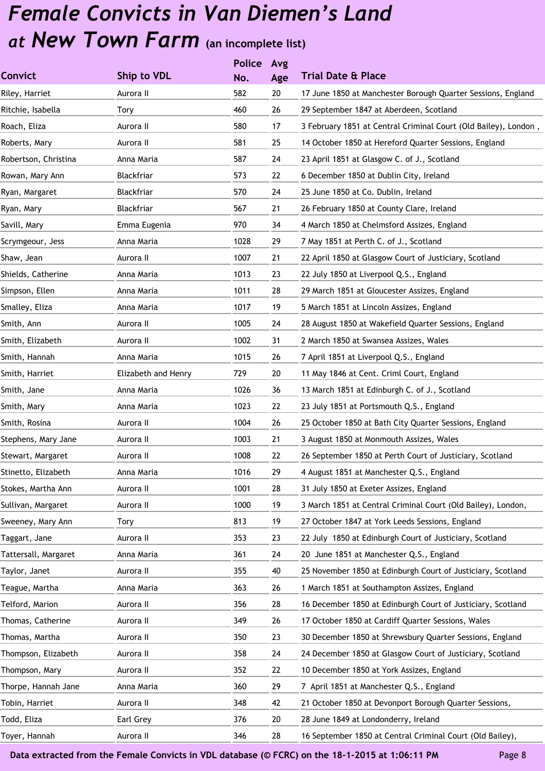|                      |                     | <b>Police</b> | Avg |                                                                 |
|----------------------|---------------------|---------------|-----|-----------------------------------------------------------------|
| <b>Convict</b>       | Ship to VDL         | No.           | Age | <b>Trial Date &amp; Place</b>                                   |
| Riley, Harriet       | Aurora II           | 582           | 20  | 17 June 1850 at Manchester Borough Quarter Sessions, England    |
| Ritchie, Isabella    | Tory                | 460           | 26  | 29 September 1847 at Aberdeen, Scotland                         |
| Roach, Eliza         | Aurora II           | 580           | 17  | 3 February 1851 at Central Criminal Court (Old Bailey), London, |
| Roberts, Mary        | Aurora II           | 581           | 25  | 14 October 1850 at Hereford Quarter Sessions, England           |
| Robertson, Christina | Anna Maria          | 587           | 24  | 23 April 1851 at Glasgow C. of J., Scotland                     |
| Rowan, Mary Ann      | Blackfriar          | 573           | 22  | 6 December 1850 at Dublin City, Ireland                         |
| Ryan, Margaret       | Blackfriar          | 570           | 24  | 25 June 1850 at Co. Dublin, Ireland                             |
| Ryan, Mary           | Blackfriar          | 567           | 21  | 26 February 1850 at County Clare, Ireland                       |
| Savill, Mary         | Emma Eugenia        | 970           | 34  | 4 March 1850 at Chelmsford Assizes, England                     |
| Scrymgeour, Jess     | Anna Maria          | 1028          | 29  | 7 May 1851 at Perth C. of J., Scotland                          |
| Shaw, Jean           | Aurora II           | 1007          | 21  | 22 April 1850 at Glasgow Court of Justiciary, Scotland          |
| Shields, Catherine   | Anna Maria          | 1013          | 23  | 22 July 1850 at Liverpool Q.S., England                         |
| Simpson, Ellen       | Anna Maria          | 1011          | 28  | 29 March 1851 at Gloucester Assizes, England                    |
| Smalley, Eliza       | Anna Maria          | 1017          | 19  | 5 March 1851 at Lincoln Assizes, England                        |
| Smith, Ann           | Aurora II           | 1005          | 24  | 28 August 1850 at Wakefield Quarter Sessions, England           |
| Smith, Elizabeth     | Aurora II           | 1002          | 31  | 2 March 1850 at Swansea Assizes, Wales                          |
| Smith, Hannah        | Anna Maria          | 1015          | 26  | 7 April 1851 at Liverpool Q.S., England                         |
| Smith, Harriet       | Elizabeth and Henry | 729           | 20  | 11 May 1846 at Cent. Criml Court, England                       |
| Smith, Jane          | Anna Maria          | 1026          | 36  | 13 March 1851 at Edinburgh C. of J., Scotland                   |
| Smith, Mary          | Anna Maria          | 1023          | 22  | 23 July 1851 at Portsmouth Q.S., England                        |
| Smith, Rosina        | Aurora II           | 1004          | 26  | 25 October 1850 at Bath City Quarter Sessions, England          |
| Stephens, Mary Jane  | Aurora II           | 1003          | 21  | 3 August 1850 at Monmouth Assizes, Wales                        |
| Stewart, Margaret    | Aurora II           | 1008          | 22  | 26 September 1850 at Perth Court of Justiciary, Scotland        |
| Stinetto, Elizabeth  | Anna Maria          | 1016          | 29  | 4 August 1851 at Manchester Q.S., England                       |
| Stokes, Martha Ann   | Aurora II           | 1001          | 28  | 31 July 1850 at Exeter Assizes, England                         |
| Sullivan, Margaret   | Aurora II           | 1000          | 19  | 3 March 1851 at Central Criminal Court (Old Bailey), London,    |
| Sweeney, Mary Ann    | Tory                | 813           | 19  | 27 October 1847 at York Leeds Sessions, England                 |
| Taggart, Jane        | Aurora II           | 353           | 23  | 22 July 1850 at Edinburgh Court of Justiciary, Scotland         |
| Tattersall, Margaret | Anna Maria          | 361           | 24  | 20 June 1851 at Manchester Q.S., England                        |
| Taylor, Janet        | Aurora II           | 355           | 40  | 25 November 1850 at Edinburgh Court of Justiciary, Scotland     |
| Teague, Martha       | Anna Maria          | 363           | 26  | 1 March 1851 at Southampton Assizes, England                    |
| Telford, Marion      | Aurora II           | 356           | 28  | 16 December 1850 at Edinburgh Court of Justiciary, Scotland     |
| Thomas, Catherine    | Aurora II           | 349           | 26  | 17 October 1850 at Cardiff Quarter Sessions, Wales              |
| Thomas, Martha       | Aurora II           | 350           | 23  | 30 December 1850 at Shrewsbury Quarter Sessions, England        |
| Thompson, Elizabeth  | Aurora II           | 358           | 24  | 24 December 1850 at Glasgow Court of Justiciary, Scotland       |
| Thompson, Mary       | Aurora II           | 352           | 22  | 10 December 1850 at York Assizes, England                       |
| Thorpe, Hannah Jane  | Anna Maria          | 360           | 29  | 7 April 1851 at Manchester Q.S., England                        |
| Tobin, Harriet       | Aurora II           | 348           | 42  | 21 October 1850 at Devonport Borough Quarter Sessions,          |
| Todd, Eliza          | Earl Grey           | 376           | 20  | 28 June 1849 at Londonderry, Ireland                            |
| Toyer, Hannah        | Aurora II           | 346           | 28  | 16 September 1850 at Central Criminal Court (Old Bailey),       |
|                      |                     |               |     |                                                                 |